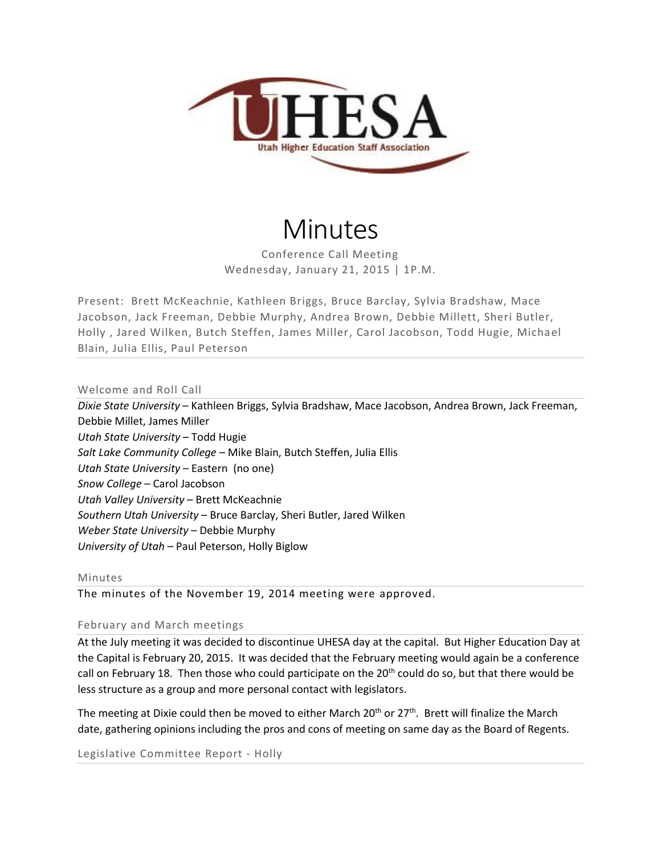

# Minutes

Conference Call Meeting Wednesday, January 21, 2015 | 1P.M.

Present: Brett McKeachnie, Kathleen Briggs, Bruce Barclay, Sylvia Bradshaw, Mace Jacobson, Jack Freeman, Debbie Murphy, Andrea Brown, Debbie Millett, Sheri Butler, Holly , Jared Wilken, Butch Steffen, James Miller, Carol Jacobson, Todd Hugie, Michael Blain, Julia Ellis, Paul Peterson

Welcome and Roll Call

*Dixie State University* – Kathleen Briggs, Sylvia Bradshaw, Mace Jacobson, Andrea Brown, Jack Freeman, Debbie Millet, James Miller *Utah State University* – Todd Hugie *Salt Lake Community College* – Mike Blain, Butch Steffen, Julia Ellis *Utah State University* – Eastern (no one) *Snow College* – Carol Jacobson *Utah Valley University* – Brett McKeachnie *Southern Utah University* – Bruce Barclay, Sheri Butler, Jared Wilken *Weber State University* – Debbie Murphy *University of Utah* – Paul Peterson, Holly Biglow

#### Minutes

The minutes of the November 19, 2014 meeting were approved.

### February and March meetings

At the July meeting it was decided to discontinue UHESA day at the capital. But Higher Education Day at the Capital is February 20, 2015. It was decided that the February meeting would again be a conference call on February 18. Then those who could participate on the  $20<sup>th</sup>$  could do so, but that there would be less structure as a group and more personal contact with legislators.

The meeting at Dixie could then be moved to either March  $20<sup>th</sup>$  or  $27<sup>th</sup>$ . Brett will finalize the March date, gathering opinions including the pros and cons of meeting on same day as the Board of Regents.

Legislative Committee Report - Holly